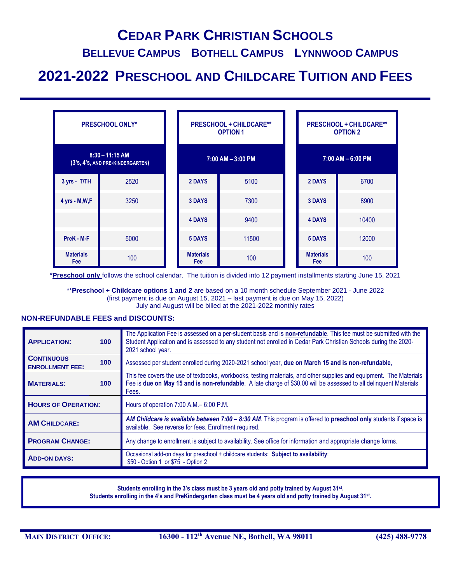# **CEDAR PARK CHRISTIAN SCHOOLS**

## **BELLEVUE CAMPUS BOTHELL CAMPUS LYNNWOOD CAMPUS**

# **2021-2022 PRESCHOOL AND CHILDCARE TUITION AND FEES**

| <b>PRESCHOOL ONLY*</b>                                |      | <b>PRESCHOOL + CHILDCARE**</b><br><b>OPTION 1</b> |                         |       | <b>PRESCHOOL + CHILDCARE**</b><br><b>OPTION 2</b> |                                |       |
|-------------------------------------------------------|------|---------------------------------------------------|-------------------------|-------|---------------------------------------------------|--------------------------------|-------|
| $8:30 - 11:15$ AM<br>(3's, 4's, AND PRE-KINDERGARTEN) |      |                                                   | $7:00$ AM $-3:00$ PM    |       |                                                   | $7:00$ AM $-6:00$ PM           |       |
| 3 yrs - T/TH                                          | 2520 |                                                   | 2 DAYS                  | 5100  |                                                   | 2 DAYS                         | 6700  |
| 4 yrs - M, W, F                                       | 3250 |                                                   | <b>3 DAYS</b>           | 7300  |                                                   | <b>3 DAYS</b>                  | 8900  |
|                                                       |      |                                                   | <b>4 DAYS</b>           | 9400  |                                                   | <b>4 DAYS</b>                  | 10400 |
| PreK - M-F                                            | 5000 |                                                   | 5 DAYS                  | 11500 |                                                   | 5 DAYS                         | 12000 |
| <b>Materials</b><br>Fee                               | 100  |                                                   | <b>Materials</b><br>Fee | 100   |                                                   | <b>Materials</b><br><b>Fee</b> | 100   |

\***Preschool only** follows the school calendar. The tuition is divided into 12 payment installments starting June 15, 2021

\*\***Preschool + Childcare options 1 and 2** are based on a 10 month schedule September 2021 - June 2022 (first payment is due on August 15, 2021 – last payment is due on May 15, 2022) July and August will be billed at the 2021-2022 monthly rates

#### **NON-REFUNDABLE FEES and DISCOUNTS:**

| <b>APPLICATION:</b>                                             | 100              | The Application Fee is assessed on a per-student basis and is non-refundable. This fee must be submitted with the<br>Student Application and is assessed to any student not enrolled in Cedar Park Christian Schools during the 2020-<br>2021 school year. |  |  |  |  |
|-----------------------------------------------------------------|------------------|------------------------------------------------------------------------------------------------------------------------------------------------------------------------------------------------------------------------------------------------------------|--|--|--|--|
| <b>CONTINUOUS</b><br>100 <sub>1</sub><br><b>ENROLLMENT FEE:</b> |                  | Assessed per student enrolled during 2020-2021 school year, due on March 15 and is non-refundable,                                                                                                                                                         |  |  |  |  |
| <b>MATERIALS:</b>                                               | 100 <sub>1</sub> | This fee covers the use of textbooks, workbooks, testing materials, and other supplies and equipment. The Materials<br>Fee is due on May 15 and is non-refundable. A late charge of \$30.00 will be assessed to all delinquent Materials<br>Fees.          |  |  |  |  |
| <b>HOURS OF OPERATION:</b>                                      |                  | Hours of operation 7:00 A.M. - 6:00 P.M.                                                                                                                                                                                                                   |  |  |  |  |
| <b>AM CHILDCARE:</b>                                            |                  | AM Childcare is available between 7:00 - 8:30 AM. This program is offered to preschool only students if space is<br>available. See reverse for fees. Enrollment required.                                                                                  |  |  |  |  |
| <b>PROGRAM CHANGE:</b>                                          |                  | Any change to enrollment is subject to availability. See office for information and appropriate change forms.                                                                                                                                              |  |  |  |  |
| <b>ADD-ON DAYS:</b>                                             |                  | Occasional add-on days for preschool + childcare students: Subject to availability:<br>\$50 - Option 1 or \$75 - Option 2                                                                                                                                  |  |  |  |  |

**Students enrolling in the 3's class must be 3 years old and potty trained by August 31st . Students enrolling in the 4's and PreKindergarten class must be 4 years old and potty trained by August 31st .**